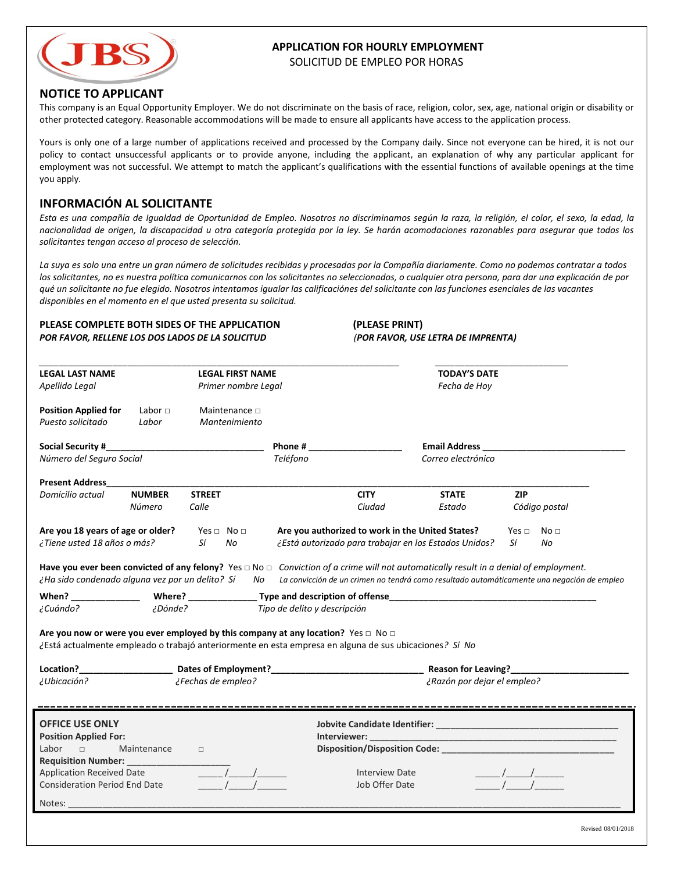

# **APPLICATION FOR HOURLY EMPLOYMENT**

SOLICITUD DE EMPLEO POR HORAS

## **NOTICE TO APPLICANT**

This company is an Equal Opportunity Employer. We do not discriminate on the basis of race, religion, color, sex, age, national origin or disability or other protected category. Reasonable accommodations will be made to ensure all applicants have access to the application process.

Yours is only one of a large number of applications received and processed by the Company daily. Since not everyone can be hired, it is not our policy to contact unsuccessful applicants or to provide anyone, including the applicant, an explanation of why any particular applicant for employment was not successful. We attempt to match the applicant's qualifications with the essential functions of available openings at the time you apply.

# **INFORMACIÓN AL SOLICITANTE**

*Esta es una compañía de Igualdad de Oportunidad de Empleo. Nosotros no discriminamos según la raza, la religión, el color, el sexo, la edad, la nacionalidad de origen, la discapacidad u otra categoría protegida por la ley. Se harán acomodaciones razonables para asegurar que todos los solicitantes tengan acceso al proceso de selección.*

*La suya es solo una entre un gran número de solicitudes recibidas y procesadas por la Compañía diariamente. Como no podemos contratar a todos los solicitantes, no es nuestra política comunicarnos con los solicitantes no seleccionados, o cualquier otra persona, para dar una explicación de por qué un solicitante no fue elegido. Nosotros intentamos igualar las calificaciónes del solicitante con las funciones esenciales de las vacantes disponibles en el momento en el que usted presenta su solicitud.* 

### **PLEASE COMPLETE BOTH SIDES OF THE APPLICATION (PLEASE PRINT)**  *POR FAVOR, RELLENE LOS DOS LADOS DE LA SOLICITUD (POR FAVOR, USE LETRA DE IMPRENTA)*

| <b>LEGAL LAST NAME</b><br>Apellido Legal                                                                |                         | <b>LEGAL FIRST NAME</b><br>Primer nombre Legal |                                                                                                                                                                                                       | <b>TODAY'S DATE</b><br>Fecha de Hoy        |                                                                                                                                                                                                                                                                                                                                                                                                                                   |  |  |
|---------------------------------------------------------------------------------------------------------|-------------------------|------------------------------------------------|-------------------------------------------------------------------------------------------------------------------------------------------------------------------------------------------------------|--------------------------------------------|-----------------------------------------------------------------------------------------------------------------------------------------------------------------------------------------------------------------------------------------------------------------------------------------------------------------------------------------------------------------------------------------------------------------------------------|--|--|
| <b>Position Applied for</b><br>Puesto solicitado                                                        | Labor $\sqcap$<br>Labor | Maintenance $\Box$<br>Mantenimiento            |                                                                                                                                                                                                       |                                            |                                                                                                                                                                                                                                                                                                                                                                                                                                   |  |  |
| <b>Social Security #</b><br>Número del Seguro Social                                                    |                         |                                                | <b>Phone #</b> Phone #<br>Teléfono                                                                                                                                                                    | <b>Email Address</b><br>Correo electrónico |                                                                                                                                                                                                                                                                                                                                                                                                                                   |  |  |
| <b>Present Address</b>                                                                                  |                         |                                                |                                                                                                                                                                                                       |                                            |                                                                                                                                                                                                                                                                                                                                                                                                                                   |  |  |
| Domicilio actual                                                                                        | <b>NUMBER</b><br>Número | <b>STREET</b><br>Calle                         | <b>CITY</b><br>Ciudad                                                                                                                                                                                 | <b>STATE</b><br>Estado                     | <b>ZIP</b><br>Código postal                                                                                                                                                                                                                                                                                                                                                                                                       |  |  |
| Are you 18 years of age or older?<br>¿Tiene usted 18 años o más?                                        |                         | Yes $\Box$ No $\Box$<br>Sí<br>No               | Are you authorized to work in the United States?<br>¿Está autorizado para trabajar en los Estados Unidos?                                                                                             |                                            | No <sub>1</sub><br>Yes $\Box$<br>Sí<br>No                                                                                                                                                                                                                                                                                                                                                                                         |  |  |
| ¿Ha sido condenado alguna vez por un delito? Sí                                                         |                         | No                                             | Have you ever been convicted of any felony? Yes $\Box$ No $\Box$ Conviction of a crime will not automatically result in a denial of employment.                                                       |                                            | La convicción de un crimen no tendrá como resultado automáticamente una negación de empleo                                                                                                                                                                                                                                                                                                                                        |  |  |
|                                                                                                         |                         |                                                |                                                                                                                                                                                                       |                                            |                                                                                                                                                                                                                                                                                                                                                                                                                                   |  |  |
| ¿Cuándo?                                                                                                | ¿Dónde?                 |                                                | Tipo de delito y descripción                                                                                                                                                                          |                                            |                                                                                                                                                                                                                                                                                                                                                                                                                                   |  |  |
|                                                                                                         |                         |                                                | Are you now or were you ever employed by this company at any location? Yes $\Box$ No $\Box$<br>¿Está actualmente empleado o trabajó anteriormente en esta empresa en alguna de sus ubicaciones? Sí No |                                            |                                                                                                                                                                                                                                                                                                                                                                                                                                   |  |  |
|                                                                                                         |                         |                                                |                                                                                                                                                                                                       |                                            |                                                                                                                                                                                                                                                                                                                                                                                                                                   |  |  |
| ¿Ubicación?                                                                                             |                         | ¿Fechas de empleo?                             | ¿Razón por dejar el empleo?                                                                                                                                                                           |                                            |                                                                                                                                                                                                                                                                                                                                                                                                                                   |  |  |
| <b>OFFICE USE ONLY</b><br><b>Position Applied For:</b><br>Labor<br>$\Box$<br><b>Requisition Number:</b> | Maintenance             | $\Box$                                         |                                                                                                                                                                                                       |                                            |                                                                                                                                                                                                                                                                                                                                                                                                                                   |  |  |
| <b>Application Received Date</b><br><b>Consideration Period End Date</b>                                |                         | $\frac{\frac{1}{2}}{2}$                        | Interview Date<br>Job Offer Date                                                                                                                                                                      |                                            | $\frac{1}{\sqrt{1-\frac{1}{\sqrt{1-\frac{1}{\sqrt{1-\frac{1}{\sqrt{1-\frac{1}{\sqrt{1-\frac{1}{\sqrt{1-\frac{1}{\sqrt{1-\frac{1}{\sqrt{1-\frac{1}{\sqrt{1-\frac{1}{\sqrt{1-\frac{1}{\sqrt{1-\frac{1}{\sqrt{1-\frac{1}{\sqrt{1-\frac{1}{\sqrt{1-\frac{1}{\sqrt{1-\frac{1}{\sqrt{1-\frac{1}{\sqrt{1-\frac{1}{\sqrt{1-\frac{1}{\sqrt{1-\frac{1}{\sqrt{1-\frac{1}{\sqrt{1-\frac{1}{\sqrt{1-\frac{1}{\sqrt{1-\frac{1}{\sqrt{1-\frac{1$ |  |  |
| Notes:                                                                                                  |                         |                                                |                                                                                                                                                                                                       |                                            |                                                                                                                                                                                                                                                                                                                                                                                                                                   |  |  |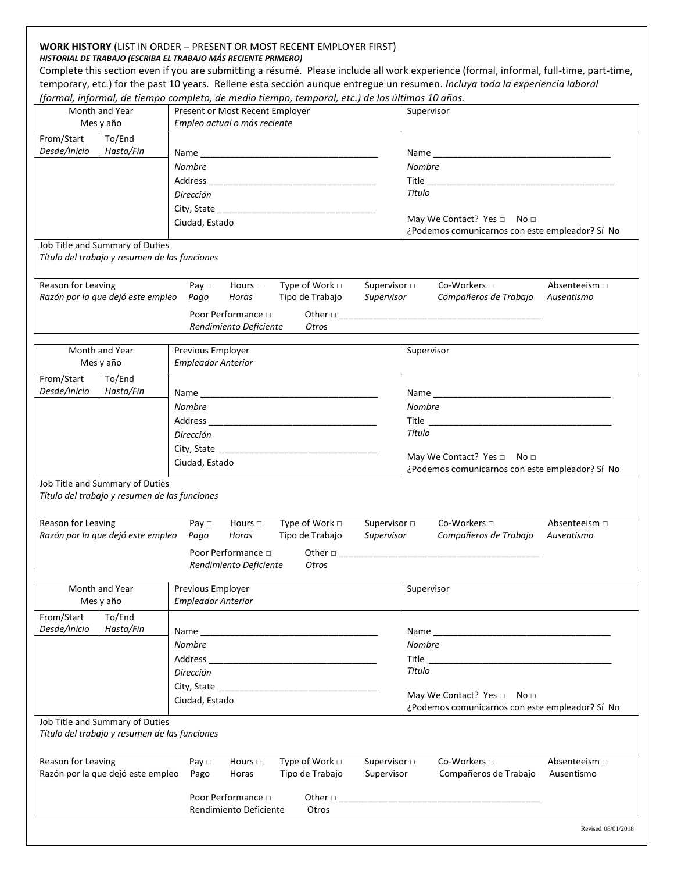### **WORK HISTORY** (LIST IN ORDER – PRESENT OR MOST RECENT EMPLOYER FIRST) *HISTORIAL DE TRABAJO (ESCRIBA EL TRABAJO MÁS RECIENTE PRIMERO)*

Complete this section even if you are submitting a résumé. Please include all work experience (formal, informal, full-time, part-time, temporary, etc.) for the past 10 years. Rellene esta sección aunque entregue un resumen. *Incluya toda la experiencia laboral (formal, informal, de tiempo completo, de medio tiempo, temporal, etc.) de los últimos 10 años.* 

|                    |                                                                                  | (jomma), important, ac tiempo completo, ac meaio tiempo, temporal, etc.) ac los altimos 10 anos.                                                                                                                               |                                                                                                                                                                                                                                |  |  |  |
|--------------------|----------------------------------------------------------------------------------|--------------------------------------------------------------------------------------------------------------------------------------------------------------------------------------------------------------------------------|--------------------------------------------------------------------------------------------------------------------------------------------------------------------------------------------------------------------------------|--|--|--|
| Month and Year     |                                                                                  | Present or Most Recent Employer                                                                                                                                                                                                | Supervisor                                                                                                                                                                                                                     |  |  |  |
| Mes y año          |                                                                                  | Empleo actual o más reciente                                                                                                                                                                                                   |                                                                                                                                                                                                                                |  |  |  |
| From/Start         | To/End                                                                           |                                                                                                                                                                                                                                |                                                                                                                                                                                                                                |  |  |  |
| Desde/Inicio       | Hasta/Fin                                                                        |                                                                                                                                                                                                                                |                                                                                                                                                                                                                                |  |  |  |
|                    |                                                                                  | Nombre                                                                                                                                                                                                                         | <b>Nombre</b>                                                                                                                                                                                                                  |  |  |  |
|                    |                                                                                  |                                                                                                                                                                                                                                |                                                                                                                                                                                                                                |  |  |  |
|                    |                                                                                  | Dirección                                                                                                                                                                                                                      | Título                                                                                                                                                                                                                         |  |  |  |
|                    |                                                                                  |                                                                                                                                                                                                                                |                                                                                                                                                                                                                                |  |  |  |
|                    |                                                                                  |                                                                                                                                                                                                                                | May We Contact? Yes □ No □                                                                                                                                                                                                     |  |  |  |
|                    |                                                                                  | Ciudad, Estado                                                                                                                                                                                                                 | ¿Podemos comunicarnos con este empleador? Sí No                                                                                                                                                                                |  |  |  |
|                    | Job Title and Summary of Duties<br>Título del trabajo y resumen de las funciones |                                                                                                                                                                                                                                |                                                                                                                                                                                                                                |  |  |  |
| Reason for Leaving |                                                                                  | Type of Work $\Box$<br>Pay $\Box$<br>Hours $\Box$                                                                                                                                                                              | Co-Workers □<br>Supervisor $\Box$<br>Absenteeism $\square$                                                                                                                                                                     |  |  |  |
|                    | Razón por la que dejó este empleo                                                | Tipo de Trabajo<br>Supervisor<br>Pago<br>Horas                                                                                                                                                                                 | Compañeros de Trabajo<br>Ausentismo                                                                                                                                                                                            |  |  |  |
|                    |                                                                                  | Poor Performance $\Box$                                                                                                                                                                                                        |                                                                                                                                                                                                                                |  |  |  |
|                    |                                                                                  | Rendimiento Deficiente<br>Otros                                                                                                                                                                                                |                                                                                                                                                                                                                                |  |  |  |
|                    |                                                                                  |                                                                                                                                                                                                                                |                                                                                                                                                                                                                                |  |  |  |
|                    | Month and Year                                                                   | Previous Employer                                                                                                                                                                                                              | Supervisor                                                                                                                                                                                                                     |  |  |  |
|                    | Mes y año                                                                        | <b>Empleador Anterior</b>                                                                                                                                                                                                      |                                                                                                                                                                                                                                |  |  |  |
|                    |                                                                                  |                                                                                                                                                                                                                                |                                                                                                                                                                                                                                |  |  |  |
| From/Start         | To/End                                                                           |                                                                                                                                                                                                                                |                                                                                                                                                                                                                                |  |  |  |
| Desde/Inicio       | Hasta/Fin                                                                        | Name and the contract of the contract of the contract of the contract of the contract of the contract of the contract of the contract of the contract of the contract of the contract of the contract of the contract of the c | Name and the state of the state of the state of the state of the state of the state of the state of the state of the state of the state of the state of the state of the state of the state of the state of the state of the s |  |  |  |
|                    |                                                                                  | <b>Nombre</b>                                                                                                                                                                                                                  | <b>Nombre</b>                                                                                                                                                                                                                  |  |  |  |
|                    |                                                                                  |                                                                                                                                                                                                                                |                                                                                                                                                                                                                                |  |  |  |
|                    |                                                                                  | Dirección                                                                                                                                                                                                                      | Título                                                                                                                                                                                                                         |  |  |  |
|                    |                                                                                  | City, State City, State                                                                                                                                                                                                        |                                                                                                                                                                                                                                |  |  |  |
|                    |                                                                                  | Ciudad, Estado                                                                                                                                                                                                                 | May We Contact? Yes □ No □                                                                                                                                                                                                     |  |  |  |
|                    |                                                                                  |                                                                                                                                                                                                                                | ¿Podemos comunicarnos con este empleador? Sí No                                                                                                                                                                                |  |  |  |
|                    | Job Title and Summary of Duties<br>Título del trabajo y resumen de las funciones |                                                                                                                                                                                                                                |                                                                                                                                                                                                                                |  |  |  |
| Reason for Leaving |                                                                                  | Type of Work $\Box$<br>Hours $\Box$<br>Pay $\Box$<br>Supervisor                                                                                                                                                                | Co-Workers □<br>Supervisor $\Box$<br>Absenteeism $\Box$                                                                                                                                                                        |  |  |  |
|                    | Razón por la que dejó este empleo                                                | Pago<br>Horas<br>Tipo de Trabajo                                                                                                                                                                                               | Compañeros de Trabajo<br>Ausentismo                                                                                                                                                                                            |  |  |  |
|                    |                                                                                  | Poor Performance $\Box$                                                                                                                                                                                                        | Other $\Box$                                                                                                                                                                                                                   |  |  |  |
|                    |                                                                                  | Rendimiento Deficiente<br>Otros                                                                                                                                                                                                |                                                                                                                                                                                                                                |  |  |  |
|                    |                                                                                  |                                                                                                                                                                                                                                |                                                                                                                                                                                                                                |  |  |  |
|                    | Month and Year                                                                   | Previous Employer                                                                                                                                                                                                              | Supervisor                                                                                                                                                                                                                     |  |  |  |
|                    | Mes y año                                                                        | <b>Empleador Anterior</b>                                                                                                                                                                                                      |                                                                                                                                                                                                                                |  |  |  |
| From/Start         | To/End                                                                           |                                                                                                                                                                                                                                |                                                                                                                                                                                                                                |  |  |  |
| Desde/Inicio       | Hasta/Fin                                                                        |                                                                                                                                                                                                                                | Name and the contract of the contract of the contract of the contract of the contract of the contract of the contract of the contract of the contract of the contract of the contract of the contract of the contract of the c |  |  |  |
|                    |                                                                                  | <b>Nombre</b>                                                                                                                                                                                                                  | <b>Nombre</b>                                                                                                                                                                                                                  |  |  |  |
|                    |                                                                                  |                                                                                                                                                                                                                                |                                                                                                                                                                                                                                |  |  |  |
|                    |                                                                                  | Dirección                                                                                                                                                                                                                      | Título                                                                                                                                                                                                                         |  |  |  |
|                    |                                                                                  |                                                                                                                                                                                                                                |                                                                                                                                                                                                                                |  |  |  |
|                    |                                                                                  |                                                                                                                                                                                                                                | May We Contact? Yes □ No □                                                                                                                                                                                                     |  |  |  |
|                    |                                                                                  | Ciudad, Estado                                                                                                                                                                                                                 | ¿Podemos comunicarnos con este empleador? Sí No                                                                                                                                                                                |  |  |  |
|                    | Job Title and Summary of Duties                                                  |                                                                                                                                                                                                                                |                                                                                                                                                                                                                                |  |  |  |
|                    | Título del trabajo y resumen de las funciones                                    |                                                                                                                                                                                                                                |                                                                                                                                                                                                                                |  |  |  |
| Reason for Leaving |                                                                                  | Type of Work $\Box$<br>Pay $\Box$<br>Hours $\Box$                                                                                                                                                                              | Supervisor $\Box$<br>Co-Workers □<br>Absenteeism $\Box$                                                                                                                                                                        |  |  |  |
|                    | Razón por la que dejó este empleo                                                | Tipo de Trabajo<br>Supervisor<br>Pago<br>Horas                                                                                                                                                                                 | Compañeros de Trabajo<br>Ausentismo                                                                                                                                                                                            |  |  |  |
|                    |                                                                                  |                                                                                                                                                                                                                                |                                                                                                                                                                                                                                |  |  |  |
|                    |                                                                                  | Poor Performance $\Box$                                                                                                                                                                                                        | Other $\Box$                                                                                                                                                                                                                   |  |  |  |
|                    |                                                                                  | Rendimiento Deficiente<br>Otros                                                                                                                                                                                                |                                                                                                                                                                                                                                |  |  |  |
|                    |                                                                                  |                                                                                                                                                                                                                                |                                                                                                                                                                                                                                |  |  |  |
|                    |                                                                                  |                                                                                                                                                                                                                                | Revised 08/01/2018                                                                                                                                                                                                             |  |  |  |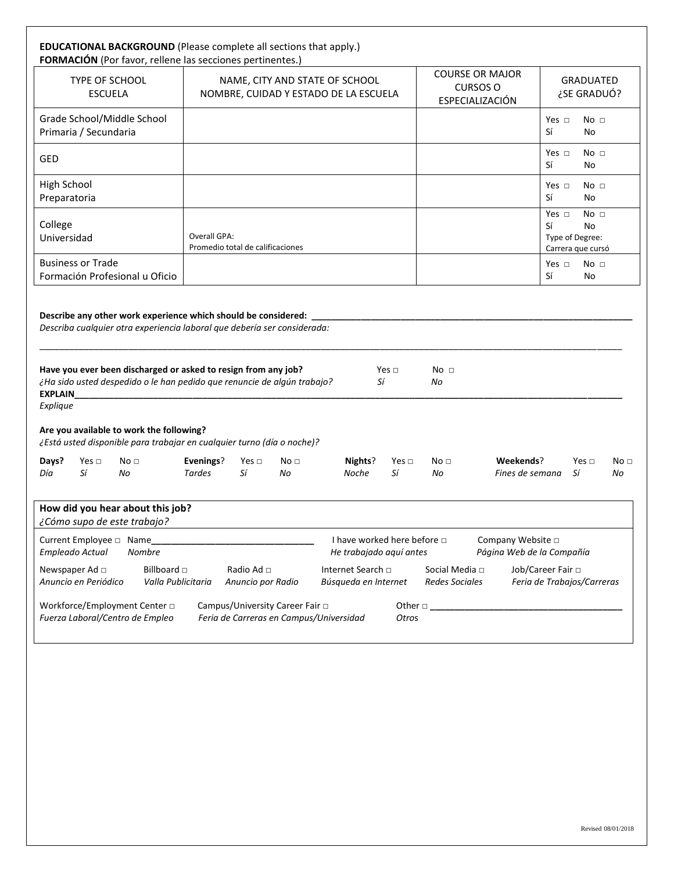| <b>EDUCATIONAL BACKGROUND</b> (Please complete all sections that apply.)<br><b>FORMACIÓN</b> (Por favor, rellene las secciones pertinentes.)                                                                                                              |                                                                                                                    |                       |                                                                                                          |                          |                                                              |                                                     |                                                                                   |                       |
|-----------------------------------------------------------------------------------------------------------------------------------------------------------------------------------------------------------------------------------------------------------|--------------------------------------------------------------------------------------------------------------------|-----------------------|----------------------------------------------------------------------------------------------------------|--------------------------|--------------------------------------------------------------|-----------------------------------------------------|-----------------------------------------------------------------------------------|-----------------------|
| TYPE OF SCHOOL<br><b>ESCUELA</b>                                                                                                                                                                                                                          | NAME, CITY AND STATE OF SCHOOL<br>NOMBRE, CUIDAD Y ESTADO DE LA ESCUELA                                            |                       |                                                                                                          |                          | <b>COURSE OR MAJOR</b><br><b>CURSOS O</b><br>ESPECIALIZACIÓN | <b>GRADUATED</b><br>¿SE GRADUÓ?                     |                                                                                   |                       |
| Grade School/Middle School<br>Primaria / Secundaria                                                                                                                                                                                                       |                                                                                                                    |                       |                                                                                                          |                          |                                                              |                                                     | No <sub>1</sub><br>Yes $\Box$<br>Sí<br>No                                         |                       |
| <b>GED</b>                                                                                                                                                                                                                                                |                                                                                                                    |                       |                                                                                                          |                          |                                                              |                                                     | No <sub>1</sub><br>Yes $\Box$<br>Sí<br>No                                         |                       |
| <b>High School</b><br>Preparatoria                                                                                                                                                                                                                        |                                                                                                                    |                       |                                                                                                          |                          |                                                              |                                                     | Yes $\Box$<br>No <sub>1</sub><br>Sí<br>No                                         |                       |
| College<br>Universidad                                                                                                                                                                                                                                    | Overall GPA:<br>Promedio total de calificaciones                                                                   |                       |                                                                                                          |                          |                                                              |                                                     | No <sub>1</sub><br>Yes $\Box$<br>Sí<br>No<br>Type of Degree:<br>Carrera que cursó |                       |
| <b>Business or Trade</b><br>Formación Profesional u Oficio                                                                                                                                                                                                |                                                                                                                    |                       |                                                                                                          |                          |                                                              |                                                     | Yes $\Box$<br>No <sub>1</sub><br>Sí<br>No                                         |                       |
| ¿Ha sido usted despedido o le han pedido que renuncie de algún trabajo?<br>EXPLAIN<br>Explique<br>Are you available to work the following?<br>¿Está usted disponible para trabajar en cualquier turno (día o noche)?                                      |                                                                                                                    |                       | Sí                                                                                                       |                          | No                                                           |                                                     |                                                                                   |                       |
| Days?<br>Yes $\Box$<br>No <sub>1</sub><br>Sí<br>Día<br>No                                                                                                                                                                                                 | Evenings?<br>Yes $\Box$<br>Tardes<br>Sí                                                                            | No <sub>1</sub><br>No | Nights?<br>Noche                                                                                         | Yes $\Box$<br>Sí         | No <sub>1</sub><br>No                                        | Weekends?<br>Fines de semana                        | Yes $\Box$<br>Sí                                                                  | No <sub>1</sub><br>No |
| How did you hear about this job?<br>¿Cómo supo de este trabajo?<br>Empleado Actual<br>Nombre<br>Billboard $\Box$<br>Newspaper Ad □<br>Anuncio en Periódico<br>Valla Publicitaria<br>Workforce/Employment Center $\Box$<br>Fuerza Laboral/Centro de Empleo | Radio Ad □<br>Anuncio por Radio<br>Campus/University Career Fair $\Box$<br>Feria de Carreras en Campus/Universidad |                       | I have worked here before $\Box$<br>He trabajado aquí antes<br>Internet Search o<br>Búsqueda en Internet | Other $\square$<br>Otros | Social Media $\Box$<br><b>Redes Sociales</b>                 | Company Website $\Box$<br>Página Web de la Compañía | Job/Career Fair $\Box$<br>Feria de Trabajos/Carreras                              |                       |
|                                                                                                                                                                                                                                                           |                                                                                                                    |                       |                                                                                                          |                          |                                                              |                                                     |                                                                                   |                       |
|                                                                                                                                                                                                                                                           |                                                                                                                    |                       |                                                                                                          |                          |                                                              |                                                     |                                                                                   |                       |